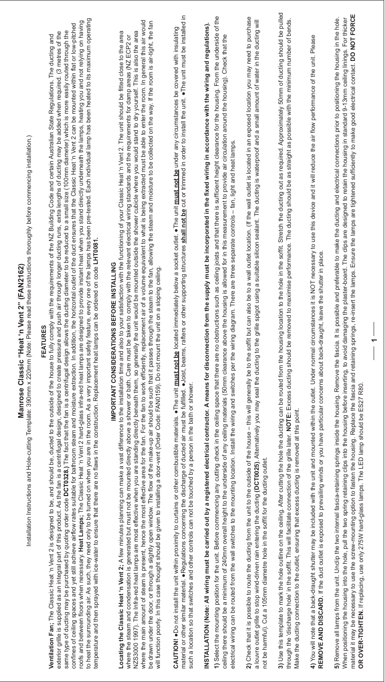## Manrose Classic "Heat 'n Vent 2" (FAN2162) **Manrose Classic "Heat 'n Vent 2" (FAN2162)**

Installation Instructions and Hole-cutting Template: 390mm x 220mm (Note: Please read these instructions thoroughly before commencing installation.) Installation Instructions and Hole-cutting Template: 390mm x 220mm (Note: Please read these instructions thoroughly before commencing installation.)

## **FEATURES FEATURES**

need only to be turned on when you are in the room. As a very important safety feature, every one of the lamps has been pre-tested. Each individual lamp has been heated to its maximum operating to heat the surrounding air. As such, thely to be turned on When a verily to a verily of the lamportant safety feature, every one of the lamps has been pre-tested. Each individual lamp has been heated to its maximum operat Heat Lamps; The Classic Heat 'n Vent 2 hard-glass infra-red heat lamps are designed to provide instant heat when you stand directly underneath the lamps, heating you and not relying on having roofs and between floors when necessic Heat Lamps; The Classic Heat Lamps, The Clavide Stand Parte in the lamps are designed to provide instant heat lamps, heating you and not relying on having confines of ceiling spaces and yet still achieve airflow rates suitable for bathroom steam and moisture extraction. In addition, the horizontal outlet of the duct ensures that the Classic Heat 'n Vent 2 can be mounted with confines of ceiling spaces and yet still achieve air(low rates suitable for bathed arily point and the battary the horizon the barrient of the Classic Heat in Vent 2 can be mounted within flat or liothed in the for bather same type of ducting purchased by quoting order Code DCT0328.) The fact that the fact that the fact that the fact that the fact that the fact that the fact that the fact that the fact that the fact that the fact that the f exterior grille is supplied as an integal part of this product. As the fact is a centifie of the lospin and to create pressure and push alleting the supplied as an interal (3 metres of the left is supplied and besign desig same type of ducting may be purchased by quoting order code DCT0328.) The fact the fan is a centrifugal design allows the ducting diameter to be reduced to a small size (100mm diameter) which is more easily routed through exterior grille is supplied as an integral part of this product. As the fan is a centrifugal design, designed to create pressure and push air through longer ducting runs, extra lengths of ducting may be added when required **Ventilation Fan**; The Classic Heat 'n Vent 2 is designed to be, and be also the to be, and to the of the house to the house to the house of the house of the be, and to the outside of the vis designed to be, and and partic 2 is designed to be, and should be, ducted to the outside of the house to fully comply with the requirements of the NZ Building Code and certain Australian State Regulations. The ducting and temperature and then sprayed with ice-water to ensure that there are no flaws in the construction. Replacement heat lamps can be ordered on code LHT0081. temperature and then sprayed with ice-water to ensure that there are no flaws in the construction. Replacement heat lamps can be ordered on code **LHT0081.** Ventilation Fan; The Classic Heat 'n Vent roofs and between floors when necessary. to heat the surrounding air. As such, they

## IMPORTANT CONSIDERATIONS BEFORE INSTALLING **IMPORTANT CONSIDERATIONS BEFORE INSTALLING**

where the main amount of steam is present, hence the most effective area for the fan. For the fan, For the fan to work efficiently, replacement air of a volume equivalent to what is being extracted must be able to enter th where the main amount of steam is present, hence the most effective area for the fan. For the fan. For the fan to work efficiently, replacement air of a volume equivalent to what is being extracted must be able to enter th be drawn under the door, or through a slightly open window of the flow of the make-up air should be such that it passes through the steam to the fan, allowing the steam and moisture to be collected on the way. If the room be drawn under the door, or thow of the make-up air should be such the steam and the steam to the fan, allowing the steam and moisture to be collected on the way. If the rain-tight, the fan Locating the Classic Heat 'n Vent 2; A few mindes planning can make a vast difference to the installation time and also to your satisfaction with the functioning of your Classic Heat 'n Vent 2. The unit should be fitted cl NZS3000 1997). The Infra-red heat lamps are most effective when you are standing directly beneath them, so generally the unit would be mounted outside the shower cubicle where you would stand to dry yourself. This is also NZS3000 1997). The Infra-red heat lamps are most effective when you are ending the when you are ally the whe standing directly beneath the where when you are also the area the stand to dry yourself. This is also the area Locating the Classic Heat 'n Vent 2; A few minutes planning can make a vast difference to the installation time and also to your satisfaction with the functioning of your Classic Heat 'n Vent 2. The unit should be fitted c where the steam and condensation is generated but must not be ideasing to part of being shower or bath. Care must be taken to comply with the relevant electrical wiring standards and the requirements for damp areas (NZ ECP will function poorly. In this case thought should be given to installing a door-vent (Order Code: FAN0159). Do not mount the unit on a sloping ceiling. will function poorly. In this case thought should be given to installing a door-vent (Order Code: FAN0159). Do not mount the unit on a sloping ceiling

material or other similar material. . Regulations concerning the discharge of ducted air must be fulfilled. . Joist, beams, rafters or other supporting structures shall not be cut or trimmed in order to install the unit. . material or other similar material. ●Regulations concerning the discharge of disclust be fulfilled air must be fulfilled air must be fulfilled air must be installed in it must be installed in CAUTION! . Do not install the unit within proximity to curtains or other combustible materials. . The unit must not be located immediately below a socket outlet. . The unit must not be under any circumstances be covered wi CAUTION! ●Do not install the unit within proximity to ourtains or other compustible materials. ● The unit <u>must not be</u> located immediately below a socket outlet. ● The unit <u>must not be</u> under any circumstances be covere controls can not be touched by a person in the bath or shower. such a location so that switches and other controls can not be touched by a person in the bath or shower. such a location so that switches and other

INSTALLATION (Note: All wiring must be carried out by a registered electical contractor. A means for disconnection from the supply must be incorporated in the fixed wiring in accordance with the wiring and regulations). INSTALLATION (Note: All wiring must be carried olectrical contractor. A means for disconnection from the supply must be incorporated in the fixed wiring in accordance with the wiring and regulations).

1) Select the unit. Before commencing any cutting space in the celling space that there are that there are no obstructions suck in the is sufficient height clearance for the housing. From the of the of the . Before commencing any cutting check in the ceiling space that there are no obstructions such as ceiling joists and that there is sufficient height clearance for the housing. From the underside of the ceiling there should be a minimum of 240mm overall height to the understile of any ceiling materials (50mm dearance above the housing is allowed for in this measurement to provide air culation around the housing). Check th ceiling there should be a minimum of 240mm overall height to the underside of any ceiling materials (50mm clearance above the housing is allowed for in this measurement to provide air circulation around the housing). Check electrical wiring can be routed from the wall switches to the mounting location. Install the wiring and switches per the wiring diagram. There are three separate controls - fan, light and heat lamps. electrical wiring can be routed from the wall switches to the mounting location. Install the wiring and switches per the wiring diagram. There are three separate controls – fan, light and heat lamps. 1) Select the mounting position for the unit

2) Check that it is possible to route the ducting from the unit to the outside of the house - this will generally be to the soffit but can also be to a wall outlet location. (If the wall outlet is located in an exposed loc 2) Check that it is possible to route the outside of the outside of the outside of the house – this will generally be to the soffit but can also be to a wall outlet is located in an exposed location you may need to purchas a louvre outlet grille to stop wind-driven rain entering the ducting (DCT0025). Alternatively you may seal the ducting to the grille spigot using a suitable silicon sealant. The ducting is waterproof and a small amount of a louvre outlet to stop wind-dring the ducting the ducting the ducting the ducting veal and be spille spille spille spille spille spille spille a suitable sing is waterproof and a small amount of water in the ducting will not be harmful). Cut a 105mm diametre hole in the soffit for the ducting outlet. not be harmful). Cut a 105mm diametre hole in the soffit for the ducting outlet

3) Use this template to mark the hole on the ceiling. After culting the ceiling the hole the hole in the housing location to the hole in the soffit. Stretch the ducting out as required. Approximately 50mm of ducting should 3) Use this template to mark the hole outline on the ceiling. After cutting the hole the ducting can be routed from the housing location to the hole in the soffit. Stretch the ducting out as required. Approximately 50mm of through the soffit. This will facilitate connection of the grille later. NOTE: Excess ducting should be removed to maximise performance. The ducting should be as straight as possible with the minimum number of bends. through the 'discharge hole' in the soffit. This will facilitate connection of the grille later. NOTE: Excess ducting should be removed to maximise performance. The ducting should be as straight as possible with the minimu ensuring that excess ducting is removed at this point. Make the ducting connection to the outlet, ensuring that excess ducting is removed at this point. Make the ducting connection to the outlet,

4) You will note that a back-draught shutter may be included with the unit and mounted within the outlet. Under normal circumstances it is NOT necessary to use this device and it will reduce the air flow performance of the Will note that a back-draught shutter may be included with the unit and measured with the outlet. Under normal circumstances it is NOT necessary to use this device and it will reduce the air flow performance of the unit. P REMOVE AND DISCARD. If the duct outlet is exposed to prevailing winds or you have particular concerns about back-draught, leave the shutter in place. **REMOVE AND DISCARD.** If the duct outlet is exposed to prevailing winds or you have particular concerns about back-draught, leave the shutter in place.

material it may be necessary to use the screw-mounting option to fasten the housing. Replace the fascia and retaining springs, re-insert the lamps. Ensure the lamps are tightened sufficiently to make good electrical Contac material it may be necessary to use the screw-mounting option to fasten the housing. Replace the fascia and retaining springs, re-insert the lamps. Ensure the lamps are tightened sufficiently to make good electrical contac 5) Remove all lamps from the two internal fascia-retaining the the housing. Remove the here the fascia. It is possible and preferable to make the ductingal connections prior to positioning the hole. In the hole. When positioning the hole, pull the two spring retaining clips into the housing before inserting, to avoid damaging the plaster-board. The clips are designed to retain the housing in standard 9-13mm ceiling linings. For th When positioning the two spring retaining otips into the housing clips into the housing before inserting, to avoid damaging the plaster-board. The designed to retain the housing in standard 9-13mm celling linings. For thic 5) Remove all lamps from the unit. Unclip the two internal fascia-retaining springs inside the housing. Remove the fascia. It is possible and preferable to make the ducting and electrical connections prior to positioning t **OR OVER-TIGHTEN.** If replacing, use only 275W hard-glass lamps. The LED lamp should be ES27 R80. 275W hard-glass lamps. The LED lamp should be ES27 R80 OR OVER-TIGHTEN. If replacing, use onl

**1**